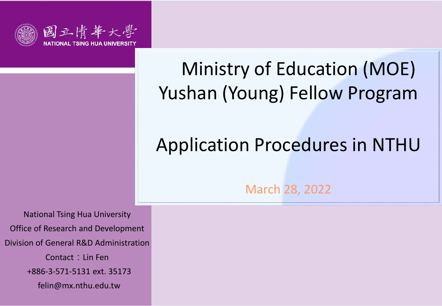

# Ministry of Education (MOE) Yushan (Young) Fellow Program

## Application Procedures in NTHU

March 28, 2022

National Tsing Hua University Office of Research and Development Division of General R&D Administration Contact: Lin Fen +886-3-571-5131 ext. 35173 felin@mx.nthu.edu.tw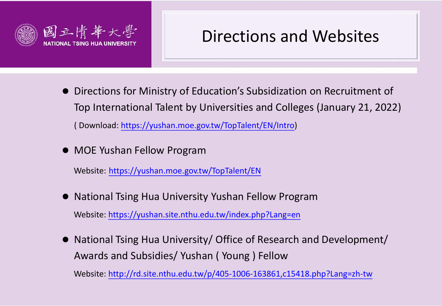

## Directions and Websites

- Directions for Ministry of Education's Subsidization on Recruitment of Top International Talent by Universities and Colleges (January 21, 2022) ( Download: [https://yushan.moe.gov.tw/TopTalent/EN/Intro\)](https://yushan.moe.gov.tw/TopTalent/EN/Intro)
- MOE Yushan Fellow Program

Website: <https://yushan.moe.gov.tw/TopTalent/EN>

National Tsing Hua University Yushan Fellow Program

Website:<https://yushan.site.nthu.edu.tw/index.php?Lang=en>

● National Tsing Hua University/ Office of Research and Development/ Awards and Subsidies/ Yushan ( Young ) Fellow

Website:<http://rd.site.nthu.edu.tw/p/405-1006-163861,c15418.php?Lang=zh-tw>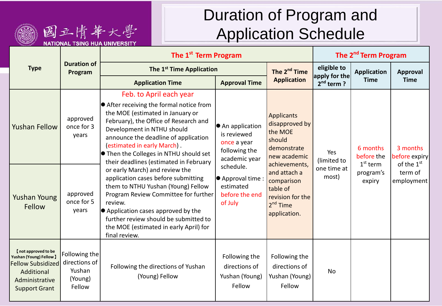

## Duration of Program and Application Schedule

|                                                                                                                                    |                                                               | The 1 <sup>st</sup> Term Program                                                                                                                                                                                                                                                                                                                                                                                                                                                                                                                                                                                                                                               | The 2 <sup>nd</sup> Term Program                                                 |                                                                                                          |                                            |                                                             |                                                                              |
|------------------------------------------------------------------------------------------------------------------------------------|---------------------------------------------------------------|--------------------------------------------------------------------------------------------------------------------------------------------------------------------------------------------------------------------------------------------------------------------------------------------------------------------------------------------------------------------------------------------------------------------------------------------------------------------------------------------------------------------------------------------------------------------------------------------------------------------------------------------------------------------------------|----------------------------------------------------------------------------------|----------------------------------------------------------------------------------------------------------|--------------------------------------------|-------------------------------------------------------------|------------------------------------------------------------------------------|
| <b>Type</b>                                                                                                                        | <b>Duration of</b><br>Program                                 | The 1 <sup>st</sup> Time Application                                                                                                                                                                                                                                                                                                                                                                                                                                                                                                                                                                                                                                           | The 2 <sup>nd</sup> Time                                                         | eligible to<br>apply for the                                                                             | Application                                | Approval                                                    |                                                                              |
|                                                                                                                                    |                                                               | <b>Application Time</b>                                                                                                                                                                                                                                                                                                                                                                                                                                                                                                                                                                                                                                                        | <b>Approval Time</b>                                                             | <b>Application</b>                                                                                       | $2nd$ term ?                               | <b>Time</b>                                                 | <b>Time</b>                                                                  |
| <b>Yushan Fellow</b>                                                                                                               | approved<br>once for 3<br>years                               | Feb. to April each year<br>$\bullet$ After receiving the formal notice from<br>the MOE (estimated in January or<br>February), the Office of Research and<br>Development in NTHU should<br>announce the deadline of application<br>(estimated in early March).<br>$\bullet$ Then the Colleges in NTHU should set<br>their deadlines (estimated in February<br>or early March) and review the<br>application cases before submitting<br>them to NTHU Yushan (Young) Fellow<br>Program Review Committee for further<br>review.<br>$\bullet$ Application cases approved by the<br>further review should be submitted to<br>the MOE (estimated in early April) for<br>final review. | ● An application<br>is reviewed<br>once a year<br>following the<br>academic year | <b>Applicants</b><br>disapproved by<br>the MOE<br>should<br>demonstrate<br>new academic<br>achievements, | Yes<br>(limited to<br>one time at<br>most) | 6 months<br>before the<br>$1st$ term<br>program's<br>expiry | 3 months<br>before expiry<br>of the 1 <sup>st</sup><br>term of<br>employment |
| <b>Yushan Young</b><br>Fellow                                                                                                      | approved<br>once for 5<br>years                               |                                                                                                                                                                                                                                                                                                                                                                                                                                                                                                                                                                                                                                                                                | schedule.<br>$\bullet$ Approval time :<br>estimated<br>before the end<br>of July | and attach a<br>comparison<br>table of<br>revision for the<br>2 <sup>nd</sup> Time<br>application.       |                                            |                                                             |                                                                              |
| [not approved to be<br>Yushan (Young) Fellow ]<br><b>Fellow Subsidized</b><br>Additional<br>Administrative<br><b>Support Grant</b> | Following the<br>directions of<br>Yushan<br>(Young)<br>Fellow | Following the directions of Yushan<br>(Young) Fellow                                                                                                                                                                                                                                                                                                                                                                                                                                                                                                                                                                                                                           | Following the<br>directions of<br>Yushan (Young)<br>Fellow                       | Following the<br>directions of<br>Yushan (Young)<br>Fellow                                               | No                                         |                                                             |                                                                              |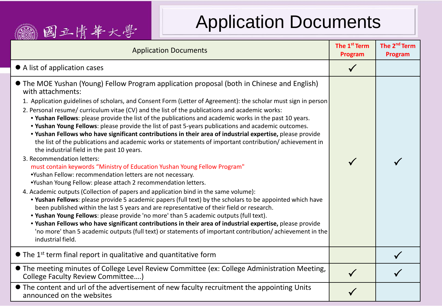## Application Documents

| Application Docunicitio<br>國立情華大學                                                                                                                                                                                                                                                                                                                                                                                                                                                                                                                                                                                                                                                                                                                                                                                                                                                                                                                                                                                                                                                                                                                                                                                                                                                                                                                                                                                                                                                                                                                                                                                                                                                                          |                                     |                                     |
|------------------------------------------------------------------------------------------------------------------------------------------------------------------------------------------------------------------------------------------------------------------------------------------------------------------------------------------------------------------------------------------------------------------------------------------------------------------------------------------------------------------------------------------------------------------------------------------------------------------------------------------------------------------------------------------------------------------------------------------------------------------------------------------------------------------------------------------------------------------------------------------------------------------------------------------------------------------------------------------------------------------------------------------------------------------------------------------------------------------------------------------------------------------------------------------------------------------------------------------------------------------------------------------------------------------------------------------------------------------------------------------------------------------------------------------------------------------------------------------------------------------------------------------------------------------------------------------------------------------------------------------------------------------------------------------------------------|-------------------------------------|-------------------------------------|
| <b>Application Documents</b>                                                                                                                                                                                                                                                                                                                                                                                                                                                                                                                                                                                                                                                                                                                                                                                                                                                                                                                                                                                                                                                                                                                                                                                                                                                                                                                                                                                                                                                                                                                                                                                                                                                                               | The 1 <sup>st</sup> Term<br>Program | The 2 <sup>nd</sup> Term<br>Program |
| • A list of application cases                                                                                                                                                                                                                                                                                                                                                                                                                                                                                                                                                                                                                                                                                                                                                                                                                                                                                                                                                                                                                                                                                                                                                                                                                                                                                                                                                                                                                                                                                                                                                                                                                                                                              | $\checkmark$                        |                                     |
| • The MOE Yushan (Young) Fellow Program application proposal (both in Chinese and English)<br>with attachments:<br>1. Application guidelines of scholars, and Consent Form (Letter of Agreement): the scholar must sign in person<br>2. Personal resume/ curriculum vitae (CV) and the list of the publications and academic works:<br>. Yushan Fellows: please provide the list of the publications and academic works in the past 10 years.<br>. Yushan Young Fellows: please provide the list of past 5-years publications and academic outcomes.<br>. Yushan Fellows who have significant contributions in their area of industrial expertise, please provide<br>the list of the publications and academic works or statements of important contribution/achievement in<br>the industrial field in the past 10 years.<br>3. Recommendation letters:<br>must contain keywords "Ministry of Education Yushan Young Fellow Program"<br>.Yushan Fellow: recommendation letters are not necessary.<br>.Yushan Young Fellow: please attach 2 recommendation letters.<br>4. Academic outputs (Collection of papers and application bind in the same volume):<br>. Yushan Fellows: please provide 5 academic papers (full text) by the scholars to be appointed which have<br>been published within the last 5 years and are representative of their field or research.<br>. Yushan Young Fellows: please provide 'no more' than 5 academic outputs (full text).<br>. Yushan Fellows who have significant contributions in their area of industrial expertise, please provide<br>'no more' than 5 academic outputs (full text) or statements of important contribution/achievement in the<br>industrial field. |                                     |                                     |
| $\bullet$ The 1 <sup>st</sup> term final report in qualitative and quantitative form                                                                                                                                                                                                                                                                                                                                                                                                                                                                                                                                                                                                                                                                                                                                                                                                                                                                                                                                                                                                                                                                                                                                                                                                                                                                                                                                                                                                                                                                                                                                                                                                                       |                                     |                                     |
| • The meeting minutes of College Level Review Committee (ex: College Administration Meeting,<br>College Faculty Review Committee)                                                                                                                                                                                                                                                                                                                                                                                                                                                                                                                                                                                                                                                                                                                                                                                                                                                                                                                                                                                                                                                                                                                                                                                                                                                                                                                                                                                                                                                                                                                                                                          |                                     |                                     |
| • The content and url of the advertisement of new faculty recruitment the appointing Units<br>announced on the websites                                                                                                                                                                                                                                                                                                                                                                                                                                                                                                                                                                                                                                                                                                                                                                                                                                                                                                                                                                                                                                                                                                                                                                                                                                                                                                                                                                                                                                                                                                                                                                                    |                                     |                                     |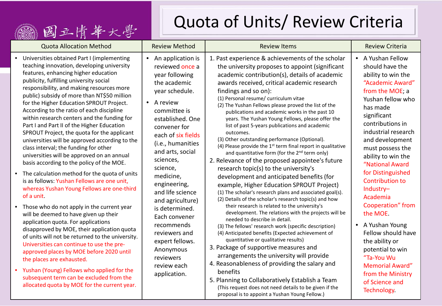### 1 國三肯華大學

## Quota of Units/ Review Criteria

| <b>Quota Allocation Method</b>                                                                                                                                                                                                                                                                                                                                                                                                                                                                                                                                                                                                                                                                                                                                                                                                                                                                                                                                                                                                                                                                                                                                                                                                                                                                                                                                                    | <b>Review Method</b>                                                                                                                                                                                                                                                                                                                                                                                                                                                                          | <b>Review Items</b>                                                                                                                                                                                                                                                                                                                                                                                                                                                                                                                                                                                                                                                                                                                                                                                                                                                                                                                                                                                                                                                                                                                                                                                                                                                                                                                                                                                                                                                                                                                                                                                                      | <b>Review Criteria</b>                                                                                                                                                                                                                                                                                                                                                                                                                                                                                                                                                         |
|-----------------------------------------------------------------------------------------------------------------------------------------------------------------------------------------------------------------------------------------------------------------------------------------------------------------------------------------------------------------------------------------------------------------------------------------------------------------------------------------------------------------------------------------------------------------------------------------------------------------------------------------------------------------------------------------------------------------------------------------------------------------------------------------------------------------------------------------------------------------------------------------------------------------------------------------------------------------------------------------------------------------------------------------------------------------------------------------------------------------------------------------------------------------------------------------------------------------------------------------------------------------------------------------------------------------------------------------------------------------------------------|-----------------------------------------------------------------------------------------------------------------------------------------------------------------------------------------------------------------------------------------------------------------------------------------------------------------------------------------------------------------------------------------------------------------------------------------------------------------------------------------------|--------------------------------------------------------------------------------------------------------------------------------------------------------------------------------------------------------------------------------------------------------------------------------------------------------------------------------------------------------------------------------------------------------------------------------------------------------------------------------------------------------------------------------------------------------------------------------------------------------------------------------------------------------------------------------------------------------------------------------------------------------------------------------------------------------------------------------------------------------------------------------------------------------------------------------------------------------------------------------------------------------------------------------------------------------------------------------------------------------------------------------------------------------------------------------------------------------------------------------------------------------------------------------------------------------------------------------------------------------------------------------------------------------------------------------------------------------------------------------------------------------------------------------------------------------------------------------------------------------------------------|--------------------------------------------------------------------------------------------------------------------------------------------------------------------------------------------------------------------------------------------------------------------------------------------------------------------------------------------------------------------------------------------------------------------------------------------------------------------------------------------------------------------------------------------------------------------------------|
| Universities obtained Part I (implementing<br>$\bullet$<br>teaching innovation, developing university<br>features, enhancing higher education<br>publicity, fulfilling university social<br>responsibility, and making resources more<br>public) subsidy of more than NT\$50 million<br>for the Higher Education SPROUT Project.<br>According to the ratio of each discipline<br>within research centers and the funding for<br>Part I and Part II of the Higher Education<br>SPROUT Project, the quota for the applicant<br>universities will be approved according to the<br>class interval; the funding for other<br>universities will be approved on an annual<br>basis according to the policy of the MOE.<br>• The calculation method for the quota of units<br>is as follows: Yushan Fellows are one unit,<br>whereas Yushan Young Fellows are one-third<br>of a unit<br>• Those who do not apply in the current year<br>will be deemed to have given up their<br>application quota. For applications<br>disapproved by MOE, their application quota<br>of units will not be returned to the university.<br>Universities can continue to use the pre-<br>approved places by MOE before 2020 until<br>the places are exhausted.<br>• Yushan (Young) Fellows who applied for the<br>subsequent term can be excluded from the<br>allocated quota by MOE for the current year. | An application is<br>$\bullet$<br>reviewed once a<br>year following<br>the academic<br>year schedule.<br>A review<br>$\bullet$<br>committee is<br>established. One<br>convener for<br>each of six fields<br>(i.e., humanities<br>and arts, social<br>sciences,<br>science,<br>medicine,<br>engineering,<br>and life science<br>and agriculture)<br>is determined.<br>Each convener<br>recommends<br>reviewers and<br>expert fellows.<br>Anonymous<br>reviewers<br>review each<br>application. | 1. Past experience & achievements of the scholar<br>the university proposes to appoint (significant<br>academic contribution(s), details of academic<br>awards received, critical academic research<br>findings and so on):<br>(1) Personal resume/ curriculum vitae<br>(2) The Yushan Fellows please proved the list of the<br>publications and academic works in the past 10<br>years. The Yushan Young Fellows, please offer the<br>list of past 5-years publications and academic<br>outcomes.<br>(3) Other outstanding performance (Optional).<br>(4) Please provide the 1 <sup>st</sup> term final report in qualitative<br>and quantitative form (for the 2 <sup>nd</sup> term only)<br>2. Relevance of the proposed appointee's future<br>research topic(s) to the university's<br>development and anticipated benefits (for<br>example, Higher Education SPROUT Project)<br>(1) The scholar's research plans and associated goal(s).<br>(2) Details of the scholar's research topic(s) and how<br>their research is related to the university's<br>development. The relations with the projects will be<br>needed to describe in detail.<br>(3) The fellows' research work (specific description)<br>(4) Anticipated benefits (Expected achievement of<br>quantitative or qualitative results)<br>3. Package of supportive measures and<br>arrangements the university will provide<br>4. Reasonableness of providing the salary and<br>benefits<br>5. Planning to Collaboratively Establish a Team<br>(This request does not need details to be given if the<br>proposal is to appoint a Yushan Young Fellow.) | • A Yushan Fellow<br>should have the<br>ability to win the<br>"Academic Award"<br>from the MOE; a<br>Yushan fellow who<br>has made<br>significant<br>contributions in<br>industrial research<br>and development<br>must possess the<br>ability to win the<br>"National Award<br>for Distinguished<br><b>Contribution to</b><br>Industry-<br>Academia<br>Cooperation" from<br>the MOE.<br>A Yushan Young<br>$\bullet$<br>Fellow should have<br>the ability or<br>potential to win<br>"Ta-You Wu<br><b>Memorial Award"</b><br>from the Ministry<br>of Science and<br>Technology. |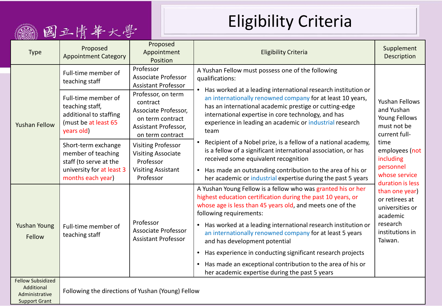## Eligibility Criteria

|                                                                                  | 國立情華                                                                                                                                                                                                                             |                                                                                                               | LIISINIIILY UITLEITA                                                                                                                                                                                                                                                                                                |                                                                                       |
|----------------------------------------------------------------------------------|----------------------------------------------------------------------------------------------------------------------------------------------------------------------------------------------------------------------------------|---------------------------------------------------------------------------------------------------------------|---------------------------------------------------------------------------------------------------------------------------------------------------------------------------------------------------------------------------------------------------------------------------------------------------------------------|---------------------------------------------------------------------------------------|
| <b>Type</b>                                                                      | Proposed<br><b>Appointment Category</b>                                                                                                                                                                                          | Proposed<br>Appointment<br>Position                                                                           | <b>Eligibility Criteria</b>                                                                                                                                                                                                                                                                                         | Supplement<br>Description                                                             |
| <b>Yushan Fellow</b>                                                             | Full-time member of<br>teaching staff                                                                                                                                                                                            | Professor<br><b>Associate Professor</b><br><b>Assistant Professor</b>                                         | A Yushan Fellow must possess one of the following<br>qualifications:<br>• Has worked at a leading international research institution or                                                                                                                                                                             |                                                                                       |
|                                                                                  | Professor, on term<br>Full-time member of<br>contract<br>teaching staff,<br>Associate Professor,<br>additional to staffing<br>on term contract<br>(must be at least 65<br>Assistant Professor,<br>years old)<br>on term contract |                                                                                                               | an internationally renowned company for at least 10 years,<br>has an international academic prestige or cutting-edge<br>international expertise in core technology, and has<br>experience in leading an academic or industrial research<br>team                                                                     | <b>Yushan Fellows</b><br>and Yushan<br>Young Fellows<br>must not be<br>current full-  |
|                                                                                  | Short-term exchange<br>member of teaching<br>staff (to serve at the<br>university for at least 3<br>months each year)                                                                                                            | <b>Visiting Professor</b><br><b>Visiting Associate</b><br>Professor<br><b>Visiting Assistant</b><br>Professor | Recipient of a Nobel prize, is a fellow of a national academy,<br>is a fellow of a significant international association, or has<br>received some equivalent recognition<br>Has made an outstanding contribution to the area of his or<br>$\bullet$<br>her academic or industrial expertise during the past 5 years | time<br>employees (not<br>including<br>personnel<br>whose service<br>duration is less |
|                                                                                  |                                                                                                                                                                                                                                  | Professor                                                                                                     | A Yushan Young Fellow is a fellow who was granted his or her<br>highest education certification during the past 10 years, or<br>whose age is less than 45 years old, and meets one of the<br>following requirements:<br>• Has worked at a leading international research institution or                             | than one year)<br>or retirees at<br>universities or<br>academic<br>research           |
| <b>Yushan Young</b><br>Fellow                                                    | Full-time member of<br>teaching staff                                                                                                                                                                                            | <b>Associate Professor</b><br><b>Assistant Professor</b>                                                      | an internationally renowned company for at least 5 years<br>and has development potential                                                                                                                                                                                                                           | institutions in<br>Taiwan.                                                            |
|                                                                                  |                                                                                                                                                                                                                                  |                                                                                                               | Has experience in conducting significant research projects<br>$\bullet$<br>Has made an exceptional contribution to the area of his or<br>$\bullet$<br>her academic expertise during the past 5 years                                                                                                                |                                                                                       |
| <b>Fellow Subsidized</b><br>Additional<br>Administrative<br><b>Support Grant</b> | Following the directions of Yushan (Young) Fellow                                                                                                                                                                                |                                                                                                               |                                                                                                                                                                                                                                                                                                                     |                                                                                       |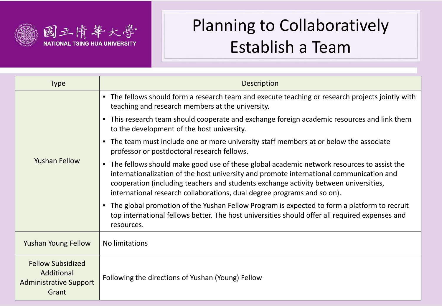

## Planning to Collaboratively Establish a Team

| <b>Type</b>                                                                      | <b>Description</b>                                                                                                                                                                                                                                                                                                                                        |
|----------------------------------------------------------------------------------|-----------------------------------------------------------------------------------------------------------------------------------------------------------------------------------------------------------------------------------------------------------------------------------------------------------------------------------------------------------|
|                                                                                  | • The fellows should form a research team and execute teaching or research projects jointly with<br>teaching and research members at the university.                                                                                                                                                                                                      |
|                                                                                  | • This research team should cooperate and exchange foreign academic resources and link them<br>to the development of the host university.                                                                                                                                                                                                                 |
|                                                                                  | • The team must include one or more university staff members at or below the associate<br>professor or postdoctoral research fellows.                                                                                                                                                                                                                     |
| <b>Yushan Fellow</b>                                                             | • The fellows should make good use of these global academic network resources to assist the<br>internationalization of the host university and promote international communication and<br>cooperation (including teachers and students exchange activity between universities,<br>international research collaborations, dual degree programs and so on). |
|                                                                                  | • The global promotion of the Yushan Fellow Program is expected to form a platform to recruit<br>top international fellows better. The host universities should offer all required expenses and<br>resources.                                                                                                                                             |
| <b>Yushan Young Fellow</b>                                                       | No limitations                                                                                                                                                                                                                                                                                                                                            |
| <b>Fellow Subsidized</b><br>Additional<br><b>Administrative Support</b><br>Grant | Following the directions of Yushan (Young) Fellow                                                                                                                                                                                                                                                                                                         |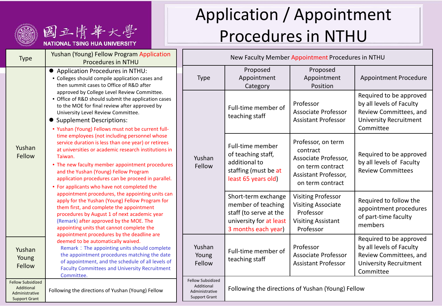



| <b>Type</b>                                                                      | Yushan (Young) Fellow Program Application<br><b>Procedures in NTHU</b>                                                                                                                                                                                                                                                                                                                                                                                                                                                                                                                                                                                                                                                                                                                                                                                                                                                                                                                                                                                                                                                                                                                                                                                                                                                                                                                                                                                       |  | New Faculty Member Appointment Procedures in NTHU                         |                                                                                                                       |                                                                                                                      |                                                                       |
|----------------------------------------------------------------------------------|--------------------------------------------------------------------------------------------------------------------------------------------------------------------------------------------------------------------------------------------------------------------------------------------------------------------------------------------------------------------------------------------------------------------------------------------------------------------------------------------------------------------------------------------------------------------------------------------------------------------------------------------------------------------------------------------------------------------------------------------------------------------------------------------------------------------------------------------------------------------------------------------------------------------------------------------------------------------------------------------------------------------------------------------------------------------------------------------------------------------------------------------------------------------------------------------------------------------------------------------------------------------------------------------------------------------------------------------------------------------------------------------------------------------------------------------------------------|--|---------------------------------------------------------------------------|-----------------------------------------------------------------------------------------------------------------------|----------------------------------------------------------------------------------------------------------------------|-----------------------------------------------------------------------|
| Yushan<br>Fellow                                                                 | ● Application Procedures in NTHU:<br>• Colleges should compile application cases and<br>then summit cases to Office of R&D after<br>approved by College Level Review Committee.<br>• Office of R&D should submit the application cases<br>to the MOE for final review after approved by<br>University Level Review Committee.<br>• Supplement Descriptions:<br>. Yushan (Young) Fellows must not be current full-<br>time employees (not including personnel whose<br>service duration is less than one year) or retirees<br>at universities or academic research institutions in<br>Taiwan.<br>• The new faculty member appointment procedures<br>and the Yushan (Young) Fellow Program<br>application procedures can be proceed in parallel.<br>• For applicants who have not completed the<br>appointment procedures, the appointing units can<br>apply for the Yushan (Young) Fellow Program for<br>them first, and complete the appointment<br>procedures by August 1 of next academic year<br>(Remark) after approved by the MOE. The<br>appointing units that cannot complete the<br>appointment procedures by the deadline are<br>deemed to be automatically waived.<br>Remark: The appointing units should complete<br>the appointment procedures matching the date<br>of appointment, and the schedule of all levels of<br><b>Faculty Committees and University Recruitment</b><br>Committee.<br>Following the directions of Yushan (Young) Fellow |  | <b>Type</b>                                                               | Proposed<br>Appointment<br>Category                                                                                   | Proposed<br>Appointment<br>Position                                                                                  | Appointn                                                              |
|                                                                                  |                                                                                                                                                                                                                                                                                                                                                                                                                                                                                                                                                                                                                                                                                                                                                                                                                                                                                                                                                                                                                                                                                                                                                                                                                                                                                                                                                                                                                                                              |  |                                                                           | Full-time member of<br>teaching staff                                                                                 | Professor<br>Associate Professor<br><b>Assistant Professor</b>                                                       | Required<br>by all leve<br><b>Review Co</b><br>University<br>Committe |
|                                                                                  |                                                                                                                                                                                                                                                                                                                                                                                                                                                                                                                                                                                                                                                                                                                                                                                                                                                                                                                                                                                                                                                                                                                                                                                                                                                                                                                                                                                                                                                              |  | Yushan<br>Fellow                                                          | Full-time member<br>of teaching staff,<br>additional to<br>staffing (must be at                                       | Professor, on term<br>contract<br>Associate Professor,<br>on term contract<br>Assistant Professor,                   | Required<br>by all leve<br><b>Review Co</b>                           |
|                                                                                  |                                                                                                                                                                                                                                                                                                                                                                                                                                                                                                                                                                                                                                                                                                                                                                                                                                                                                                                                                                                                                                                                                                                                                                                                                                                                                                                                                                                                                                                              |  |                                                                           | least 65 years old)<br>Short-term exchange<br>member of teaching<br>staff (to serve at the<br>university for at least | on term contract<br><b>Visiting Professor</b><br><b>Visiting Associate</b><br>Professor<br><b>Visiting Assistant</b> | Required<br>appointm<br>of part-tir<br>members                        |
| Yushan<br>Young<br>Fellow                                                        |                                                                                                                                                                                                                                                                                                                                                                                                                                                                                                                                                                                                                                                                                                                                                                                                                                                                                                                                                                                                                                                                                                                                                                                                                                                                                                                                                                                                                                                              |  | Yushan<br>Young<br>Fellow                                                 | 3 months each year)<br>Full-time member of<br>teaching staff                                                          | Professor<br>Professor<br>Associate Professor<br><b>Assistant Professor</b>                                          | Required<br>by all leve<br><b>Review Co</b><br>University<br>Committe |
| <b>Fellow Subsidized</b><br>Additional<br>Administrative<br><b>Support Grant</b> |                                                                                                                                                                                                                                                                                                                                                                                                                                                                                                                                                                                                                                                                                                                                                                                                                                                                                                                                                                                                                                                                                                                                                                                                                                                                                                                                                                                                                                                              |  | Fellow Subsidized<br>Additional<br>Administrative<br><b>Support Grant</b> |                                                                                                                       | Following the directions of Yushan (Young) Fellow                                                                    |                                                                       |

# Application / Appointment Procedures in NTHU

Appointment Procedure

Required to be approved by all levels of Faculty Review Committees, and University Recruitment

Required to be approved by all levels of Faculty Review Committees

Required to follow the appointment procedures of part-time faculty

Required to be approved by all levels of Faculty Review Committees, and University Recruitment

Committee

Committee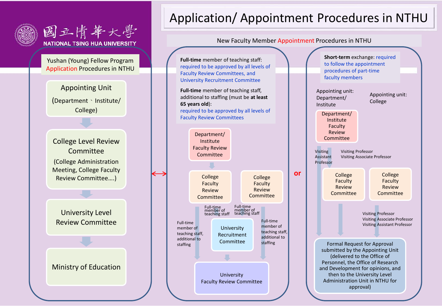



### Application/ Appointment Procedures in NTHU



**or**

**Full-time** member of teaching staff: required to be approved by all levels of Faculty Review Committees, and University Recruitment Committee

**Full-time** member of teaching staff, additional to staffing (must be **at least 65 years old**): required to be approved by all levels of Faculty Review Committees



College Faculty Review Committee Formal Request for Approval submitted by the Appointing Unit (delivered to the Office of Personnel, the Office of Research and Development for opinions, and then to the University Level Administration Unit in NTHU for approval) **Short-term** exchange: required to follow the appointment procedures of part-time faculty members Visiting Professor Visiting Associate Professor Visiting **Assistant** Professor Appointing unit: Department/ Institute Appointing unit: College College **Faculty** Review Committee Visiting Professor Visiting Associate Professor Visiting Assistant Professor Department/ Institute **Faculty** Review **Committee**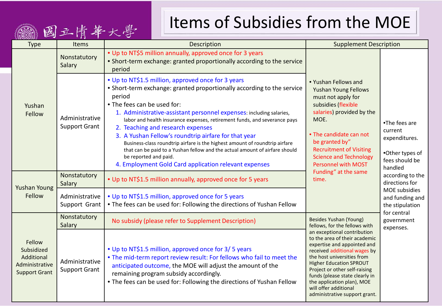## Items of Subsidies from the MOE

| 2 WA 3 MI 9 2 S H 1<br><b>Type</b>                                           | Items                                                                                                                                                          | Description                                                                                                                                                                                                                                                                                                                                                                                                                                                                                                                                                                                                                                                            | <b>Supplement Description</b>                                                                                                                                                                                                                                                                                                                          |                                                                                                                                 |  |
|------------------------------------------------------------------------------|----------------------------------------------------------------------------------------------------------------------------------------------------------------|------------------------------------------------------------------------------------------------------------------------------------------------------------------------------------------------------------------------------------------------------------------------------------------------------------------------------------------------------------------------------------------------------------------------------------------------------------------------------------------------------------------------------------------------------------------------------------------------------------------------------------------------------------------------|--------------------------------------------------------------------------------------------------------------------------------------------------------------------------------------------------------------------------------------------------------------------------------------------------------------------------------------------------------|---------------------------------------------------------------------------------------------------------------------------------|--|
| Yushan<br>Fellow                                                             | Nonstatutory<br>Salary                                                                                                                                         | • Up to NT\$5 million annually, approved once for 3 years<br>• Short-term exchange: granted proportionally according to the service<br>period                                                                                                                                                                                                                                                                                                                                                                                                                                                                                                                          |                                                                                                                                                                                                                                                                                                                                                        | •The fees are<br>current<br>expenditures.<br>•Other types of<br>fees should be<br>handled<br>according to the<br>directions for |  |
|                                                                              | Administrative<br><b>Support Grant</b>                                                                                                                         | • Up to NT\$1.5 million, approved once for 3 years<br>• Short-term exchange: granted proportionally according to the service<br>period<br>• The fees can be used for:<br>1. Administrative-assistant personnel expenses: including salaries,<br>labor and health insurance expenses, retirement funds, and severance pays<br>2. Teaching and research expenses<br>3. A Yushan Fellow's roundtrip airfare for that year<br>Business-class roundtrip airfare is the highest amount of roundtrip airfare<br>that can be paid to a Yushan fellow and the actual amount of airfare should<br>be reported and paid.<br>4. Employment Gold Card application relevant expenses | • Yushan Fellows and<br><b>Yushan Young Fellows</b><br>must not apply for<br>subsidies (flexible<br>salaries) provided by the<br>MOE.<br>• The candidate can not<br>be granted by"<br><b>Recruitment of Visiting</b><br><b>Science and Technology</b><br><b>Personnel with MOST</b>                                                                    |                                                                                                                                 |  |
| <b>Yushan Young</b>                                                          | Nonstatutory<br>Salary                                                                                                                                         | • Up to NT\$1.5 million annually, approved once for 5 years                                                                                                                                                                                                                                                                                                                                                                                                                                                                                                                                                                                                            | Funding" at the same<br>time.                                                                                                                                                                                                                                                                                                                          |                                                                                                                                 |  |
| Fellow                                                                       | • Up to NT\$1.5 million, approved once for 5 years<br>Administrative<br>. The fees can be used for: Following the directions of Yushan Fellow<br>Support Grant |                                                                                                                                                                                                                                                                                                                                                                                                                                                                                                                                                                                                                                                                        |                                                                                                                                                                                                                                                                                                                                                        | MOE subsidies<br>and funding and<br>the stipulation                                                                             |  |
|                                                                              | Nonstatutory<br>Salary                                                                                                                                         | No subsidy (please refer to Supplement Description)                                                                                                                                                                                                                                                                                                                                                                                                                                                                                                                                                                                                                    | Besides Yushan (Young)<br>fellows, for the fellows with                                                                                                                                                                                                                                                                                                | for central<br>government<br>expenses.                                                                                          |  |
| Fellow<br>Subsidized<br>Additional<br>Administrative<br><b>Support Grant</b> | Administrative<br><b>Support Grant</b>                                                                                                                         | • Up to NT\$1.5 million, approved once for 3/5 years<br>. The mid-term report review result: For fellows who fail to meet the<br>anticipated outcome, the MOE will adjust the amount of the<br>remaining program subsidy accordingly.<br>. The fees can be used for: Following the directions of Yushan Fellow                                                                                                                                                                                                                                                                                                                                                         | an exceptional contribution<br>to the area of their academic<br>expertise and appointed and<br>received additional wages by<br>the host universities from<br><b>Higher Education SPROUT</b><br>Project or other self-raising<br>funds (please state clearly in<br>the application plan), MOE<br>will offer additional<br>administrative support grant. |                                                                                                                                 |  |

( 国立 唐 華 大 學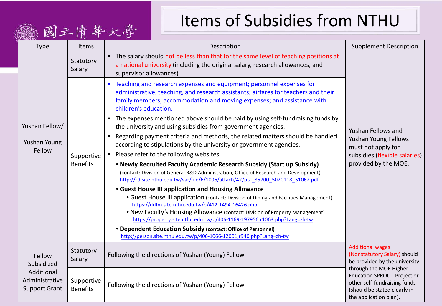## Items of Subsidies from NTHU

| VE CHEY SH S<br><b>Type</b>                                                  | <b>Items</b>                  | Description                                                                                                                                                                                                                                                                                                                                                           | <b>Supplement Description</b>                                                                                                                          |
|------------------------------------------------------------------------------|-------------------------------|-----------------------------------------------------------------------------------------------------------------------------------------------------------------------------------------------------------------------------------------------------------------------------------------------------------------------------------------------------------------------|--------------------------------------------------------------------------------------------------------------------------------------------------------|
|                                                                              | Statutory<br>Salary           | • The salary should not be less than that for the same level of teaching positions at<br>a national university (including the original salary, research allowances, and<br>supervisor allowances).                                                                                                                                                                    |                                                                                                                                                        |
|                                                                              |                               | Teaching and research expenses and equipment; personnel expenses for<br>administrative, teaching, and research assistants; airfares for teachers and their<br>family members; accommodation and moving expenses; and assistance with<br>children's education.                                                                                                         |                                                                                                                                                        |
| Yushan Fellow/                                                               |                               | • The expenses mentioned above should be paid by using self-fundraising funds by<br>the university and using subsidies from government agencies.                                                                                                                                                                                                                      | Yushan Fellows and<br>Yushan Young Fellows<br>must not apply for<br>subsidies (flexible salaries)<br>provided by the MOE.                              |
| Yushan Young                                                                 | Supportive<br><b>Benefits</b> | Regarding payment criteria and methods, the related matters should be handled<br>according to stipulations by the university or government agencies.                                                                                                                                                                                                                  |                                                                                                                                                        |
| Fellow                                                                       |                               | Please refer to the following websites:                                                                                                                                                                                                                                                                                                                               |                                                                                                                                                        |
|                                                                              |                               | . Newly Recruited Faculty Academic Research Subsidy (Start up Subsidy)<br>(contact: Division of General R&D Administration, Office of Research and Development)<br>http://rd.site.nthu.edu.tw/var/file/6/1006/attach/42/pta_85700_5020118_51062.pdf                                                                                                                   |                                                                                                                                                        |
|                                                                              |                               | <b>• Guest House III application and Housing Allowance</b><br>• Guest House III application (contact: Division of Dining and Facilities Management)<br>https://ddfm.site.nthu.edu.tw/p/412-1494-16426.php<br>. New Faculty's Housing Allowance (contact: Division of Property Management)<br>https://property.site.nthu.edu.tw/p/406-1169-197956,r1063.php?Lang=zh-tw |                                                                                                                                                        |
|                                                                              |                               | • Dependent Education Subsidy (contact: Office of Personnel)<br>http://person.site.nthu.edu.tw/p/406-1066-12001,r940.php?Lang=zh-tw                                                                                                                                                                                                                                   |                                                                                                                                                        |
| Fellow<br>Subsidized<br>Additional<br>Administrative<br><b>Support Grant</b> | Statutory<br>Salary           | Following the directions of Yushan (Young) Fellow                                                                                                                                                                                                                                                                                                                     | <b>Additional wages</b><br>(Nonstatutory Salary) should<br>be provided by the university                                                               |
|                                                                              | Supportive<br><b>Benefits</b> | Following the directions of Yushan (Young) Fellow                                                                                                                                                                                                                                                                                                                     | through the MOE Higher<br><b>Education SPROUT Project or</b><br>other self-fundraising funds<br>(should be stated clearly in<br>the application plan). |

( 国立 唐 華 大 學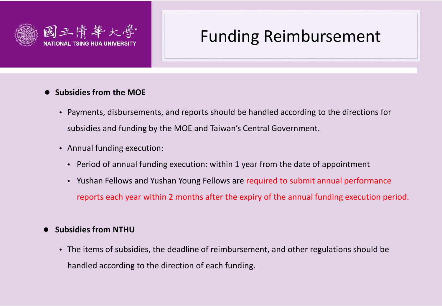

## Funding Reimbursement

#### **Subsidies from the MOE**

- Payments, disbursements, and reports should be handled according to the directions for subsidies and funding by the MOE and Taiwan's Central Government.
- Annual funding execution:
	- Period of annual funding execution: within 1 year from the date of appointment
	- Yushan Fellows and Yushan Young Fellows are required to submit annual performance reports each year within 2 months after the expiry of the annual funding execution period.

#### **Subsidies from NTHU**

• The items of subsidies, the deadline of reimbursement, and other regulations should be handled according to the direction of each funding.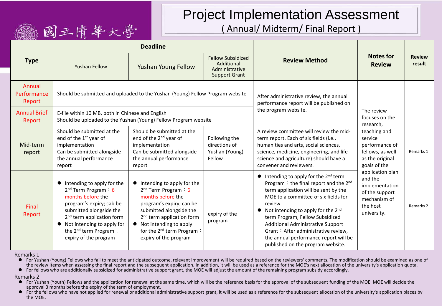#### Project Implementation Assessment ( Annual/ Midterm/ Final Report )

| <b>Type</b>                     |                                                                                                                                                                                                                                                                                    | <b>Deadline</b>                                                                                                                                                                                                                                                           |                                                                                  |                                                                                                                                                                                                                                                                                                                                                                                                                                                    |                                                                                                            |                         |
|---------------------------------|------------------------------------------------------------------------------------------------------------------------------------------------------------------------------------------------------------------------------------------------------------------------------------|---------------------------------------------------------------------------------------------------------------------------------------------------------------------------------------------------------------------------------------------------------------------------|----------------------------------------------------------------------------------|----------------------------------------------------------------------------------------------------------------------------------------------------------------------------------------------------------------------------------------------------------------------------------------------------------------------------------------------------------------------------------------------------------------------------------------------------|------------------------------------------------------------------------------------------------------------|-------------------------|
|                                 | Yushan Fellow                                                                                                                                                                                                                                                                      | Yushan Young Fellow                                                                                                                                                                                                                                                       | <b>Fellow Subsidized</b><br>Additional<br>Administrative<br><b>Support Grant</b> | <b>Review Method</b>                                                                                                                                                                                                                                                                                                                                                                                                                               | <b>Notes for</b><br><b>Review</b>                                                                          | <b>Review</b><br>result |
| Annual<br>Performance<br>Report | Should be submitted and uploaded to the Yushan (Young) Fellow Program website                                                                                                                                                                                                      |                                                                                                                                                                                                                                                                           |                                                                                  | After administrative review, the annual<br>performance report will be published on                                                                                                                                                                                                                                                                                                                                                                 |                                                                                                            |                         |
| <b>Annual Brief</b><br>Report   | E-file within 10 MB, both in Chinese and English                                                                                                                                                                                                                                   | Should be uploaded to the Yushan (Young) Fellow Program website                                                                                                                                                                                                           | the program website.                                                             | The review<br>focuses on the<br>research,                                                                                                                                                                                                                                                                                                                                                                                                          |                                                                                                            |                         |
| Mid-term<br>report              | Should be submitted at the<br>end of the 1 <sup>st</sup> year of<br>implementation<br>Can be submitted alongside<br>the annual performance<br>report                                                                                                                               | Should be submitted at the<br>end of the 2 <sup>nd</sup> year of<br>implementation<br>Can be submitted alongside<br>the annual performance<br>report                                                                                                                      | Following the<br>directions of<br>Yushan (Young)<br>Fellow                       | A review committee will review the mid-<br>term report. Each of six fields (i.e.,<br>humanities and arts, social sciences,<br>science, medicine, engineering, and life<br>science and agriculture) should have a<br>convener and reviewers.                                                                                                                                                                                                        | teaching and<br>service<br>performance of<br>fellows, as well<br>as the original<br>goals of the           | Remarks 1               |
| Final<br>Report                 | $\bullet$ Intending to apply for the<br>$2nd$ Term Program : 6<br>months before the<br>program's expiry; cab be<br>submitted alongside the<br>2 <sup>nd</sup> term application form<br>• Not intending to apply for<br>the 2 <sup>nd</sup> term Program :<br>expiry of the program | • Intending to apply for the<br>$2nd$ Term Program : 6<br>months before the<br>program's expiry; can be<br>submitted alongside the<br>2 <sup>nd</sup> term application form<br>• Not intending to apply<br>for the 2 <sup>nd</sup> term Program:<br>expiry of the program | expiry of the<br>program                                                         | $\bullet$ Intending to apply for the 2 <sup>nd</sup> term<br>Program: the final report and the 2nd<br>term application will be sent by the<br>MOE to a committee of six fields for<br>review<br>Not intending to apply for the 2 <sup>nd</sup><br>term Program, Fellow Subsidized<br><b>Additional Administrative Support</b><br>Grant: After administrative review,<br>the annual performance report will be<br>published on the program website. | application plan<br>and the<br>implementation<br>of the support<br>mechanism of<br>the host<br>university. | Remarks 2               |

Remarks 1

( 國立 唐 華 大 學

● For Yushan (Young) Fellows who fail to meet the anticipated outcome, relevant improvement will be required based on the reviewers' comments. The modification should be examined as one of the review items when assessing the final report and the subsequent application. In addition, it will be used as a reference for the MOE's next allocation of the university's application quota.

For fellows who are additionally subsidized for administrative support grant, the MOE will adjust the amount of the remaining program subsidy accordingly.

Remarks 2

● For Yushan (Youth) Fellows and the application for renewal at the same time, which will be the reference basis for the approval of the subsequent funding of the MOE. MOE will decide the approval 3 months before the expiry of the term of employment.

● For the fellows who have not applied for renewal or additional administrative support grant, it will be used as a reference for the subsequent allocation of the university's application places by the MOE.